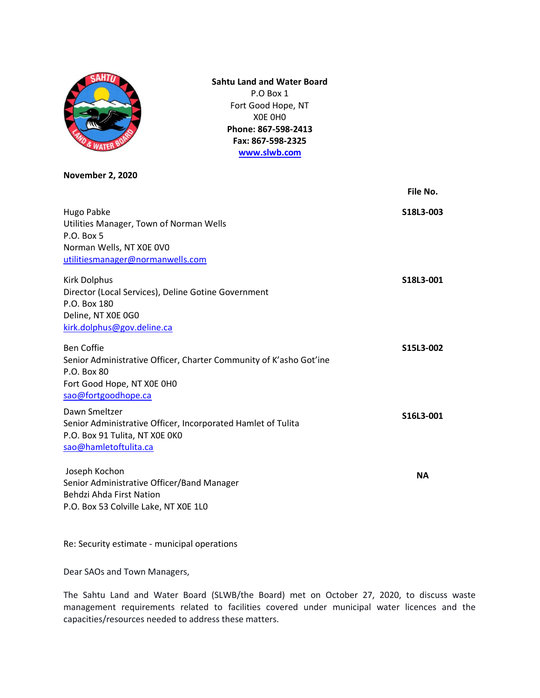

**Sahtu Land and Water Board** P.O Box 1 Fort Good Hope, NT X0E 0H0 **Phone: 867-598-2413 Fax: 867-598-2325 [www.slwb.com](http://www.slwb.com/)**

**November 2, 2020**

|                                                                                                                                                             | File No.  |
|-------------------------------------------------------------------------------------------------------------------------------------------------------------|-----------|
| Hugo Pabke<br>Utilities Manager, Town of Norman Wells<br>P.O. Box 5<br>Norman Wells, NT X0E 0V0<br>utilitiesmanager@normanwells.com                         | S18L3-003 |
| Kirk Dolphus<br>Director (Local Services), Deline Gotine Government<br>P.O. Box 180<br>Deline, NT X0E 0G0<br>kirk.dolphus@gov.deline.ca                     | S18L3-001 |
| <b>Ben Coffie</b><br>Senior Administrative Officer, Charter Community of K'asho Got'ine<br>P.O. Box 80<br>Fort Good Hope, NT X0E 0H0<br>sao@fortgoodhope.ca | S15L3-002 |
| Dawn Smeltzer<br>Senior Administrative Officer, Incorporated Hamlet of Tulita<br>P.O. Box 91 Tulita, NT XOE OKO<br>sao@hamletoftulita.ca                    | S16L3-001 |
| Joseph Kochon<br>Senior Administrative Officer/Band Manager<br>Behdzi Ahda First Nation<br>P.O. Box 53 Colville Lake, NT X0E 1L0                            | <b>NA</b> |

Re: Security estimate - municipal operations

Dear SAOs and Town Managers,

The Sahtu Land and Water Board (SLWB/the Board) met on October 27, 2020, to discuss waste management requirements related to facilities covered under municipal water licences and the capacities/resources needed to address these matters.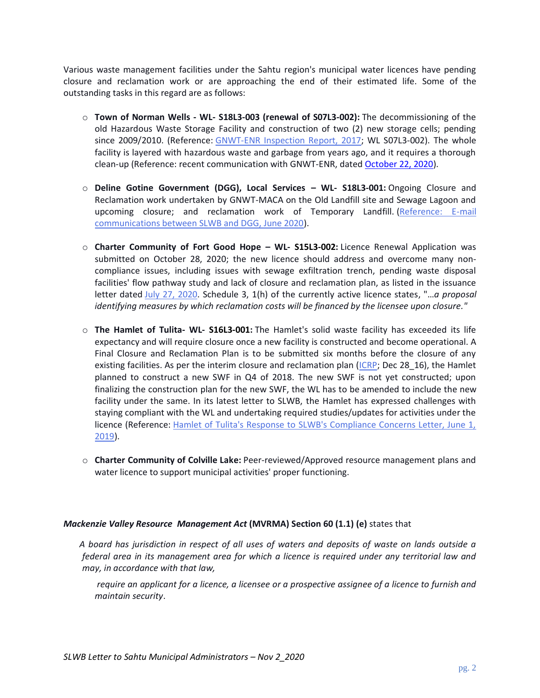Various waste management facilities under the Sahtu region's municipal water licences have pending closure and reclamation work or are approaching the end of their estimated life. Some of the outstanding tasks in this regard are as follows:

- o **Town of Norman Wells - WL- S18L3-003 (renewal of S07L3-002):** The decommissioning of the old Hazardous Waste Storage Facility and construction of two (2) new storage cells; pending since 2009/2010. (Reference: [GNWT-ENR Inspection Report, 2017;](http://registry.mvlwb.ca/Documents/S07L3-002/S07L3-002%20-%20ENR%20Inspection%20Report%20for%20September%2028%202017%20-%20Sept%2029_17.pdf) WL S07L3-002). The whole facility is layered with hazardous waste and garbage from years ago, and it requires a thorough clean-up (Reference: recent communication with GNWT-ENR, date[d October 22, 2020\)](http://registry.mvlwb.ca/Documents/S18L3-003/S18L3-003%20-%20Status%20of%20Old%20Hazardous%20Waste%20Facility%20-%20Town%20of%20Norman%20Wells%20-%20Oct%2022_20.pdf).
- o **Deline Gotine Government (DGG), Local Services – WL- S18L3-001:** Ongoing Closure and Reclamation work undertaken by GNWT-MACA on the Old Landfill site and Sewage Lagoon and upcoming closure; and reclamation work of Temporary Landfill. [\(Reference: E-mail](http://registry.mvlwb.ca/Documents/S18L3-001/S18L3-001%20-%20E-mails%20-%20New%20SWF%20Construction%20-%20Final%20Design%20Drawing%20-%20O%20and%20M%20Plan%20Updates%20-%20Jun%205-16%20_20.pdf)  [communications between SLWB and DGG, June 2020\)](http://registry.mvlwb.ca/Documents/S18L3-001/S18L3-001%20-%20E-mails%20-%20New%20SWF%20Construction%20-%20Final%20Design%20Drawing%20-%20O%20and%20M%20Plan%20Updates%20-%20Jun%205-16%20_20.pdf).
- o **Charter Community of Fort Good Hope – WL- S15L3-002:** Licence Renewal Application was submitted on October 28, 2020; the new licence should address and overcome many noncompliance issues, including issues with sewage exfiltration trench, pending waste disposal facilities' flow pathway study and lack of closure and reclamation plan, as listed in the issuance letter dated [July 27, 2020.](http://registry.mvlwb.ca/Documents/S15L3-002/S15L3-002%20-%20Issuance%20Package%20-%20Short%20WL%20Renewal%20-%20Jul%2027_20.pdf) Schedule 3, 1(h) of the currently active licence states, "…*a proposal identifying measures by which reclamation costs will be financed by the licensee upon closure."*
- o **The Hamlet of Tulita- WL- S16L3-001:** The Hamlet's solid waste facility has exceeded its life expectancy and will require closure once a new facility is constructed and become operational. A Final Closure and Reclamation Plan is to be submitted six months before the closure of any existing facilities. As per the interim closure and reclamation plan [\(ICRP;](http://registry.mvlwb.ca/Documents/S16L3-001/S16L3-001%20-%20Tulita%20ICRP%20-%20Dec%2028_16.pdf) Dec 28 16), the Hamlet planned to construct a new SWF in Q4 of 2018. The new SWF is not yet constructed; upon finalizing the construction plan for the new SWF, the WL has to be amended to include the new facility under the same. In its latest letter to SLWB, the Hamlet has expressed challenges with staying compliant with the WL and undertaking required studies/updates for activities under the licence (Reference: [Hamlet of Tulita's Response to SLWB's Compliance Concerns Letter, June 1,](http://registry.mvlwb.ca/Documents/S16L3-001/S16L3-001%20-%20Tulita%20response%20letter%20to%20SLWB%20re%20Compliance%20Concerns%20-%20Jun%201_19.pdf)  [2019\)](http://registry.mvlwb.ca/Documents/S16L3-001/S16L3-001%20-%20Tulita%20response%20letter%20to%20SLWB%20re%20Compliance%20Concerns%20-%20Jun%201_19.pdf).
- o **Charter Community of Colville Lake:** Peer-reviewed/Approved resource management plans and water licence to support municipal activities' proper functioning.

## *Mackenzie Valley Resource Management Act* **(MVRMA) Section 60 (1.1) (e)** states that

*A board has jurisdiction in respect of all uses of waters and deposits of waste on lands outside a federal area in its management area for which a licence is required under any territorial law and may, in accordance with that law,*

*require an applicant for a licence, a licensee or a prospective assignee of a licence to furnish and maintain security*.